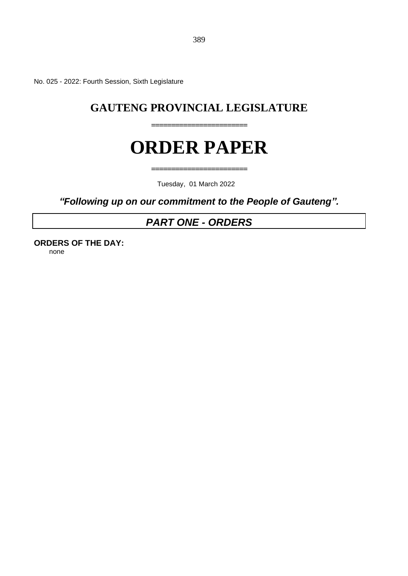No. 025 - 2022: Fourth Session, Sixth Legislature

## **GAUTENG PROVINCIAL LEGISLATURE**

**========================**

# **ORDER PAPER**

**========================**

Tuesday, 01 March 2022

*"Following up on our commitment to the People of Gauteng".*

## *PART ONE - ORDERS*

**ORDERS OF THE DAY:** none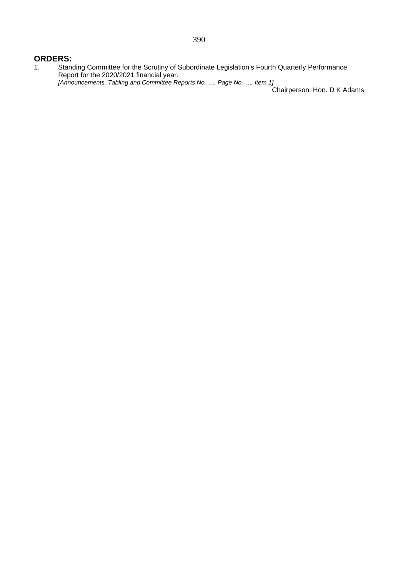#### **ORDERS:**

1. Standing Committee for the Scrutiny of Subordinate Legislation's Fourth Quarterly Performance Report for the 2020/2021 financial year. *[Announcements, Tabling and Committee Reports No. …, Page No. …, Item 1]*

Chairperson: Hon. D K Adams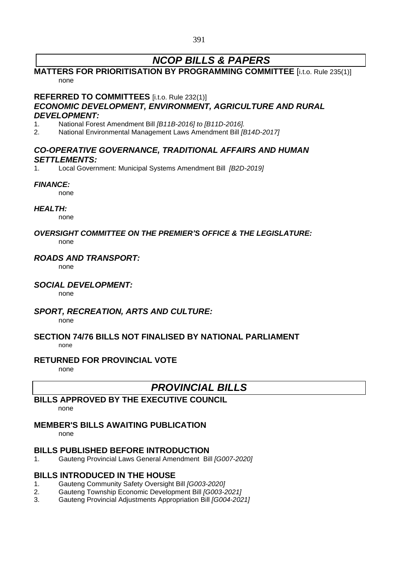## *NCOP BILLS & PAPERS*

## **MATTERS FOR PRIORITISATION BY PROGRAMMING COMMITTEE** [i.t.o. Rule 235(1)] none

#### **REFERRED TO COMMITTEES** [i.t.o. Rule 232(1)]

## *ECONOMIC DEVELOPMENT, ENVIRONMENT, AGRICULTURE AND RURAL DEVELOPMENT:*

- 1. National Forest Amendment Bill *[B11B-2016] to [B11D-2016].*
- 2. National Environmental Management Laws Amendment Bill *[B14D-2017]*

## *CO-OPERATIVE GOVERNANCE, TRADITIONAL AFFAIRS AND HUMAN SETTLEMENTS:*

1. Local Government: Municipal Systems Amendment Bill *[B2D-2019]*

#### *FINANCE:*

none

#### *HEALTH:*

none

#### *OVERSIGHT COMMITTEE ON THE PREMIER'S OFFICE & THE LEGISLATURE:* none

## *ROADS AND TRANSPORT:*

none

### *SOCIAL DEVELOPMENT:*

none

### *SPORT, RECREATION, ARTS AND CULTURE:*

none

#### **SECTION 74/76 BILLS NOT FINALISED BY NATIONAL PARLIAMENT** none

### **RETURNED FOR PROVINCIAL VOTE**

none

## *PROVINCIAL BILLS*

## **BILLS APPROVED BY THE EXECUTIVE COUNCIL**

none

## **MEMBER'S BILLS AWAITING PUBLICATION**

none

## **BILLS PUBLISHED BEFORE INTRODUCTION**

1. Gauteng Provincial Laws General Amendment Bill *[G007-2020]*

## **BILLS INTRODUCED IN THE HOUSE**

- 1. Gauteng Community Safety Oversight Bill *[G003-2020]*
- 2. Gauteng Township Economic Development Bill *[G003-2021]*
- 3. Gauteng Provincial Adjustments Appropriation Bill *[G004-2021]*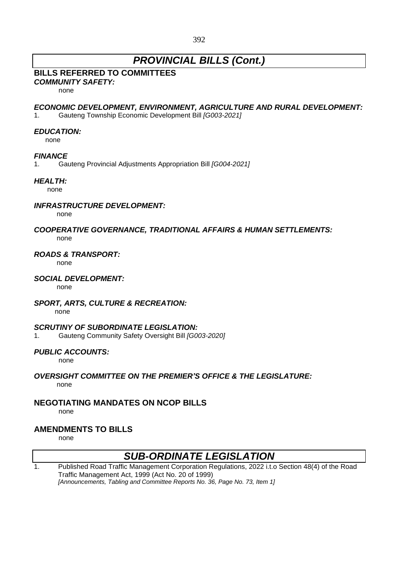## *PROVINCIAL BILLS (Cont.)*

## **BILLS REFERRED TO COMMITTEES**

*COMMUNITY SAFETY:*

none

#### *ECONOMIC DEVELOPMENT, ENVIRONMENT, AGRICULTURE AND RURAL DEVELOPMENT:*

1. Gauteng Township Economic Development Bill *[G003-2021]*

#### *EDUCATION:*

none

#### *FINANCE*

1. Gauteng Provincial Adjustments Appropriation Bill *[G004-2021]*

### *HEALTH:*

none

### *INFRASTRUCTURE DEVELOPMENT:*

none

#### *COOPERATIVE GOVERNANCE, TRADITIONAL AFFAIRS & HUMAN SETTLEMENTS:* none

#### *ROADS & TRANSPORT:*

none

#### *SOCIAL DEVELOPMENT:*

none

### *SPORT, ARTS, CULTURE & RECREATION:*

none

#### *SCRUTINY OF SUBORDINATE LEGISLATION:*

1. Gauteng Community Safety Oversight Bill *[G003-2020]*

### *PUBLIC ACCOUNTS:*

none

#### *OVERSIGHT COMMITTEE ON THE PREMIER'S OFFICE & THE LEGISLATURE:* none

## **NEGOTIATING MANDATES ON NCOP BILLS**

none

## **AMENDMENTS TO BILLS**

none

## *SUB-ORDINATE LEGISLATION*

1. Published Road Traffic Management Corporation Regulations, 2022 i.t.o Section 48(4) of the Road Traffic Management Act, 1999 (Act No. 20 of 1999) *[Announcements, Tabling and Committee Reports No. 36, Page No. 73, Item 1]*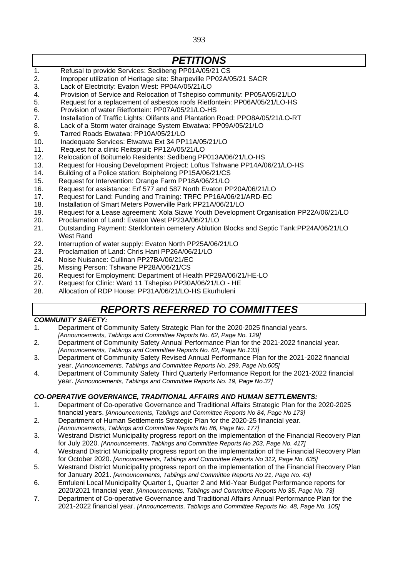393

## *PETITIONS*

- 1. Refusal to provide Services: Sedibeng PP01A/05/21 CS
- 2. Improper utilization of Heritage site: Sharpeville PP02A/05/21 SACR
- 3. Lack of Electricity: Evaton West: PP04A/05/21/LO
- 4. Provision of Service and Relocation of Tshepiso community: PP05A/05/21/LO
- 5. Request for a replacement of asbestos roofs Rietfontein: PP06A/05/21/LO-HS
- 6. Provision of water Rietfontein: PP07A/05/21/LO-HS
- 7. Installation of Traffic Lights: Olifants and Plantation Road: PPO8A/05/21/LO-RT
- 8. Lack of a Storm water drainage System Etwatwa: PP09A/05/21/LO
- 9. Tarred Roads Etwatwa: PP10A/05/21/LO
- 10. Inadequate Services: Etwatwa Ext 34 PP11A/05/21/LO
- 11. Request for a clinic Reitspruit: PP12A/05/21/LO
- 12. Relocation of Boitumelo Residents: Sedibeng PP013A/06/21/LO-HS
- 13. Request for Housing Development Project: Loftus Tshwane PP14A/06/21/LO-HS
- 14. Building of a Police station: Boiphelong PP15A/06/21/CS
- 15. Request for Intervention: Orange Farm PP18A/06/21/LO
- 16. Request for assistance: Erf 577 and 587 North Evaton PP20A/06/21/LO
- 17. Request for Land: Funding and Training: TRFC PP16A/06/21/ARD-EC
- 18. Installation of Smart Meters Powerville Park PP21A/06/21/LO
- 19. Request for a Lease agreement: Xola Sizwe Youth Development Organisation PP22A/06/21/LO
- 20. Proclamation of Land: Evaton West PP23A/06/21/LO
- 21. Outstanding Payment: Sterkfontein cemetery Ablution Blocks and Septic Tank:PP24A/06/21/LO West Rand
- 22. Interruption of water supply: Evaton North PP25A/06/21/LO
- 23. Proclamation of Land: Chris Hani PP26A/06/21/LO
- 24. Noise Nuisance: Cullinan PP27BA/06/21/EC
- 25. Missing Person: Tshwane PP28A/06/21/CS
- 26. Request for Employment: Department of Health PP29A/06/21/HE-LO
- 27. Request for Clinic: Ward 11 Tshepiso PP30A/06/21/LO HE
- 28. Allocation of RDP House: PP31A/06/21/LO-HS Ekurhuleni

## *REPORTS REFERRED TO COMMITTEES*

### *COMMUNITY SAFETY:*

- 1*.* Department of Community Safety Strategic Plan for the 2020-2025 financial years. *[Announcements, Tablings and Committee Reports No. 62, Page No. 129]*
- 2*.* Department of Community Safety Annual Performance Plan for the 2021-2022 financial year. *[Announcements, Tablings and Committee Reports No. 62, Page No.133]*
- 3. Department of Community Safety Revised Annual Performance Plan for the 2021-2022 financial year. *[Announcements, Tablings and Committee Reports No. 299, Page No.605]*
- 4. Department of Community Safety Third Quarterly Performance Report for the 2021-2022 financial year. *[Announcements, Tablings and Committee Reports No. 19, Page No.37]*

### *CO-OPERATIVE GOVERNANCE, TRADITIONAL AFFAIRS AND HUMAN SETTLEMENTS:*

- 1. Department of Co-operative Governance and Traditional Affairs Strategic Plan for the 2020-2025 financial years. *[Announcements, Tablings and Committee Reports No 84, Page No 173]*
- 2. Department of Human Settlements Strategic Plan for the 2020-25 financial year.
- *[Announcements, Tablings and Committee Reports No 86, Page No. 177]*
- 3. Westrand District Municipality progress report on the implementation of the Financial Recovery Plan for July 2020. *[Announcements, Tablings and Committee Reports No 203, Page No. 417]*
- 4. Westrand District Municipality progress report on the implementation of the Financial Recovery Plan for October 2020. *[Announcements, Tablings and Committee Reports No 312, Page No. 635]*
- 5. Westrand District Municipality progress report on the implementation of the Financial Recovery Plan for January 2021. *[Announcements, Tablings and Committee Reports No 21, Page No. 43]*
- 6. Emfuleni Local Municipality Quarter 1, Quarter 2 and Mid-Year Budget Performance reports for 2020/2021 financial year. *[Announcements, Tablings and Committee Reports No 35, Page No. 73]*
- 7. Department of Co-operative Governance and Traditional Affairs Annual Performance Plan for the 2021-2022 financial year. *[Announcements, Tablings and Committee Reports No. 48, Page No. 105]*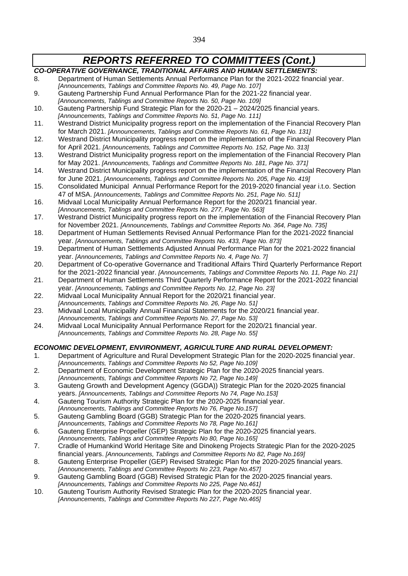- *CO-OPERATIVE GOVERNANCE, TRADITIONAL AFFAIRS AND HUMAN SETTLEMENTS:* 8. Department of Human Settlements Annual Performance Plan for the 2021-2022 financial year. *[Announcements, Tablings and Committee Reports No. 49, Page No. 107]* 9. Gauteng Partnership Fund Annual Performance Plan for the 2021-22 financial year. *[Announcements, Tablings and Committee Reports No. 50, Page No. 109]*
- 10. Gauteng Partnership Fund Strategic Plan for the 2020-21 2024/2025 financial years. *[Announcements, Tablings and Committee Reports No. 51, Page No. 111]*
- 11. Westrand District Municipality progress report on the implementation of the Financial Recovery Plan for March 2021. *[Announcements, Tablings and Committee Reports No. 61, Page No. 131]*
- 12. Westrand District Municipality progress report on the implementation of the Financial Recovery Plan for April 2021. *[Announcements, Tablings and Committee Reports No. 152, Page No. 313]*
- 13. Westrand District Municipality progress report on the implementation of the Financial Recovery Plan for May 2021. *[Announcements, Tablings and Committee Reports No. 181, Page No. 371]*
- 14. Westrand District Municipality progress report on the implementation of the Financial Recovery Plan for June 2021. *[Announcements, Tablings and Committee Reports No. 205, Page No. 419]*
- 15. Consolidated Municipal Annual Performance Report for the 2019-2020 financial year i.t.o. Section 47 of MSA. *[Announcements, Tablings and Committee Reports No. 251, Page No. 511]*
- 16. Midvaal Local Municipality Annual Performance Report for the 2020/21 financial year. *[Announcements, Tablings and Committee Reports No. 277, Page No. 563]*
- 17. Westrand District Municipality progress report on the implementation of the Financial Recovery Plan for November 2021. *[Announcements, Tablings and Committee Reports No. 364, Page No. 735]*
- 18. Department of Human Settlements Revised Annual Performance Plan for the 2021-2022 financial year. *[Announcements, Tablings and Committee Reports No. 433, Page No. 873]*
- 19. Department of Human Settlements Adjusted Annual Performance Plan for the 2021-2022 financial year. *[Announcements, Tablings and Committee Reports No. 4, Page No. 7]*
- 20. Department of Co-operative Governance and Traditional Affairs Third Quarterly Performance Report for the 2021-2022 financial year. *[Announcements, Tablings and Committee Reports No. 11, Page No. 21]*
- 21. Department of Human Settlements Third Quarterly Performance Report for the 2021-2022 financial year. *[Announcements, Tablings and Committee Reports No. 12, Page No. 23]*
- 22. Midvaal Local Municipality Annual Report for the 2020/21 financial year.
- *[Announcements, Tablings and Committee Reports No. 26, Page No. 51]*
- 23. Midvaal Local Municipality Annual Financial Statements for the 2020/21 financial year. *[Announcements, Tablings and Committee Reports No. 27, Page No. 53]*
- 24. Midvaal Local Municipality Annual Performance Report for the 2020/21 financial year. *[Announcements, Tablings and Committee Reports No. 28, Page No. 55]*

### *ECONOMIC DEVELOPMENT, ENVIRONMENT, AGRICULTURE AND RURAL DEVELOPMENT:*

- 1. Department of Agriculture and Rural Development Strategic Plan for the 2020-2025 financial year.
- *[Announcements, Tablings and Committee Reports No 52, Page No.109]* 2. Department of Economic Development Strategic Plan for the 2020-2025 financial years.
- *[Announcements, Tablings and Committee Reports No 72, Page No.149]*
- 3. Gauteng Growth and Development Agency (GGDA)) Strategic Plan for the 2020-2025 financial years. *[Announcements, Tablings and Committee Reports No 74, Page No.153]*
- 4. Gauteng Tourism Authority Strategic Plan for the 2020-2025 financial year.
- *[Announcements, Tablings and Committee Reports No 76, Page No.157]*
- 5. Gauteng Gambling Board (GGB) Strategic Plan for the 2020-2025 financial years. *[Announcements, Tablings and Committee Reports No 78, Page No.161]*
- 6. Gauteng Enterprise Propeller (GEP) Strategic Plan for the 2020-2025 financial years.
- *[Announcements, Tablings and Committee Reports No 80, Page No.165]* 7. Cradle of Humankind World Heritage Site and Dinokeng Projects Strategic Plan for the 2020-2025
- financial years. *[Announcements, Tablings and Committee Reports No 82, Page No.169]*
- 8. Gauteng Enterprise Propeller (GEP) Revised Strategic Plan for the 2020-2025 financial years. *[Announcements, Tablings and Committee Reports No 223, Page No.457]*
- 9. Gauteng Gambling Board (GGB) Revised Strategic Plan for the 2020-2025 financial years. *[Announcements, Tablings and Committee Reports No 225, Page No.461]*
- 10. Gauteng Tourism Authority Revised Strategic Plan for the 2020-2025 financial year. *[Announcements, Tablings and Committee Reports No 227, Page No.465]*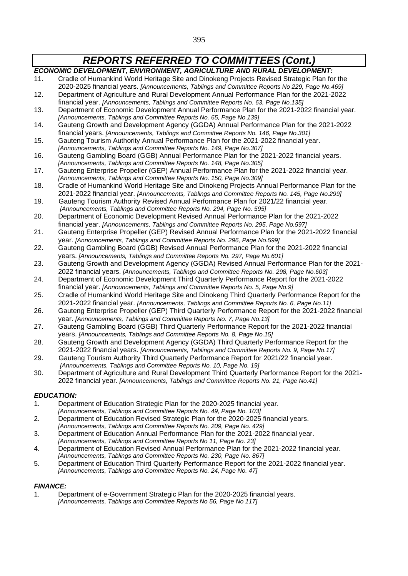*ECONOMIC DEVELOPMENT, ENVIRONMENT, AGRICULTURE AND RURAL DEVELOPMENT:* 11. Cradle of Humankind World Heritage Site and Dinokeng Projects Revised Strategic Plan for the 2020-2025 financial years. *[Announcements, Tablings and Committee Reports No 229, Page No.469]* 12. Department of Agriculture and Rural Development Annual Performance Plan for the 2021-2022 financial year. *[Announcements, Tablings and Committee Reports No. 63, Page No.135]* 13. Department of Economic Development Annual Performance Plan for the 2021-2022 financial year. *[Announcements, Tablings and Committee Reports No. 65, Page No.139]* 14. Gauteng Growth and Development Agency (GGDA) Annual Performance Plan for the 2021-2022 financial years. *[Announcements, Tablings and Committee Reports No. 146, Page No.301]* 15. Gauteng Tourism Authority Annual Performance Plan for the 2021-2022 financial year. *[Announcements, Tablings and Committee Reports No. 149, Page No.307]* 16. Gauteng Gambling Board (GGB) Annual Performance Plan for the 2021-2022 financial years. *[Announcements, Tablings and Committee Reports No. 148, Page No.305]* 17. Gauteng Enterprise Propeller (GEP) Annual Performance Plan for the 2021-2022 financial year. *[Announcements, Tablings and Committee Reports No. 150, Page No.309]* 18. Cradle of Humankind World Heritage Site and Dinokeng Projects Annual Performance Plan for the 2021-2022 financial year. *[Announcements, Tablings and Committee Reports No. 145, Page No.299]* 19. Gauteng Tourism Authority Revised Annual Performance Plan for 2021/22 financial year. *[Announcements, Tablings and Committee Reports No. 294, Page No. 595]* 20. Department of Economic Development Revised Annual Performance Plan for the 2021-2022 financial year. *[Announcements, Tablings and Committee Reports No. 295, Page No.597]* 21. Gauteng Enterprise Propeller (GEP) Revised Annual Performance Plan for the 2021-2022 financial year. *[Announcements, Tablings and Committee Reports No. 296, Page No.599]* 22. Gauteng Gambling Board (GGB) Revised Annual Performance Plan for the 2021-2022 financial years. *[Announcements, Tablings and Committee Reports No. 297, Page No.601]* 23. Gauteng Growth and Development Agency (GGDA) Revised Annual Performance Plan for the 2021- 2022 financial years. *[Announcements, Tablings and Committee Reports No. 298, Page No.603]* 24. Department of Economic Development Third Quarterly Performance Report for the 2021-2022 financial year. *[Announcements, Tablings and Committee Reports No. 5, Page No.9]* 25. Cradle of Humankind World Heritage Site and Dinokeng Third Quarterly Performance Report for the 2021-2022 financial year. *[Announcements, Tablings and Committee Reports No. 6, Page No.11]* 26. Gauteng Enterprise Propeller (GEP) Third Quarterly Performance Report for the 2021-2022 financial year. *[Announcements, Tablings and Committee Reports No. 7, Page No.13]* 27. Gauteng Gambling Board (GGB) Third Quarterly Performance Report for the 2021-2022 financial years. *[Announcements, Tablings and Committee Reports No. 8, Page No.15]* 28. Gauteng Growth and Development Agency (GGDA) Third Quarterly Performance Report for the 2021-2022 financial years. *[Announcements, Tablings and Committee Reports No. 9, Page No.17]* 29. Gauteng Tourism Authority Third Quarterly Performance Report for 2021/22 financial year. *[Announcements, Tablings and Committee Reports No. 10, Page No. 19]* 30. Department of Agriculture and Rural Development Third Quarterly Performance Report for the 2021- 2022 financial year. *[Announcements, Tablings and Committee Reports No. 21, Page No.41]*

#### *EDUCATION:*

- 1. Department of Education Strategic Plan for the 2020-2025 financial year.
- *[Announcements, Tablings and Committee Reports No. 49, Page No. 103]*
- 2. Department of Education Revised Strategic Plan for the 2020-2025 financial years. *[Announcements, Tablings and Committee Reports No. 209, Page No. 429]*
- 3. Department of Education Annual Performance Plan for the 2021-2022 financial year.
- *[Announcements, Tablings and Committee Reports No 11, Page No. 23]*
- 4. Department of Education Revised Annual Performance Plan for the 2021-2022 financial year. *[Announcements, Tablings and Committee Reports No. 230, Page No. 867]*
- 5. Department of Education Third Quarterly Performance Report for the 2021-2022 financial year. *[Announcements, Tablings and Committee Reports No. 24, Page No. 47]*

#### *FINANCE:*

1. Department of e-Government Strategic Plan for the 2020-2025 financial years. *[Announcements, Tablings and Committee Reports No 56, Page No 117]*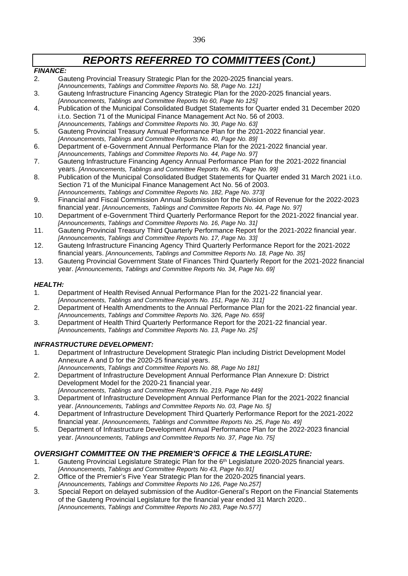#### *FINANCE:*

- 2. Gauteng Provincial Treasury Strategic Plan for the 2020-2025 financial years.
- *[Announcements, Tablings and Committee Reports No. 58, Page No. 121]* 3. Gauteng Infrastructure Financing Agency Strategic Plan for the 2020-2025 financial years.
- *[Announcements, Tablings and Committee Reports No 60, Page No 125]*
- 4. Publication of the Municipal Consolidated Budget Statements for Quarter ended 31 December 2020 i.t.o. Section 71 of the Municipal Finance Management Act No. 56 of 2003. *[Announcements, Tablings and Committee Reports No. 30, Page No. 63]*
- 5. Gauteng Provincial Treasury Annual Performance Plan for the 2021-2022 financial year.
- *[Announcements, Tablings and Committee Reports No. 40, Page No. 89]* 6. Department of e-Government Annual Performance Plan for the 2021-2022 financial year.
- *[Announcements, Tablings and Committee Reports No. 44, Page No. 97]*
- 7. Gauteng Infrastructure Financing Agency Annual Performance Plan for the 2021-2022 financial years. *[Announcements, Tablings and Committee Reports No. 45, Page No. 99]*
- 8. Publication of the Municipal Consolidated Budget Statements for Quarter ended 31 March 2021 i.t.o. Section 71 of the Municipal Finance Management Act No. 56 of 2003. *[Announcements, Tablings and Committee Reports No. 182, Page No. 373]*
- 9. Financial and Fiscal Commission Annual Submission for the Division of Revenue for the 2022-2023 financial year. *[Announcements, Tablings and Committee Reports No. 44, Page No. 97]*
- 10. Department of e-Government Third Quarterly Performance Report for the 2021-2022 financial year. *[Announcements, Tablings and Committee Reports No. 16, Page No. 31]*
- 11. Gauteng Provincial Treasury Third Quarterly Performance Report for the 2021-2022 financial year. *[Announcements, Tablings and Committee Reports No. 17, Page No. 33]*
- 12. Gauteng Infrastructure Financing Agency Third Quarterly Performance Report for the 2021-2022 financial years. *[Announcements, Tablings and Committee Reports No. 18, Page No. 35]*
- 13. Gauteng Provincial Government State of Finances Third Quarterly Report for the 2021-2022 financial year. *[Announcements, Tablings and Committee Reports No. 34, Page No. 69]*

## *HEALTH:*

- 1. Department of Health Revised Annual Performance Plan for the 2021-22 financial year. *[Announcements, Tablings and Committee Reports No. 151, Page No. 311]*
- 2. Department of Health Amendments to the Annual Performance Plan for the 2021-22 financial year. *[Announcements, Tablings and Committee Reports No. 326, Page No. 659]*
- 3. Department of Health Third Quarterly Performance Report for the 2021-22 financial year. *[Announcements, Tablings and Committee Reports No. 13, Page No. 25]*

### *INFRASTRUCTURE DEVELOPMENT:*

- 1. Department of Infrastructure Development Strategic Plan including District Development Model Annexure A and D for the 2020-25 financial years.
- *[Announcements, Tablings and Committee Reports No. 88, Page No 181]* 2. Department of Infrastructure Development Annual Performance Plan Annexure D: District Development Model for the 2020-21 financial year.
	- *[Announcements, Tablings and Committee Reports No. 219, Page No 449]*
- 3. Department of Infrastructure Development Annual Performance Plan for the 2021-2022 financial year. *[Announcements, Tablings and Committee Reports No. 03, Page No. 5]*
- 4. Department of Infrastructure Development Third Quarterly Performance Report for the 2021-2022 financial year. *[Announcements, Tablings and Committee Reports No. 25, Page No. 49]*
- 5. Department of Infrastructure Development Annual Performance Plan for the 2022-2023 financial year. *[Announcements, Tablings and Committee Reports No. 37, Page No. 75]*

## *OVERSIGHT COMMITTEE ON THE PREMIER'S OFFICE & THE LEGISLATURE:*

- 1. Gauteng Provincial Legislature Strategic Plan for the 6<sup>th</sup> Legislature 2020-2025 financial years. *[Announcements, Tablings and Committee Reports No 43, Page No.91]*
- 2. Office of the Premier's Five Year Strategic Plan for the 2020-2025 financial years.
- *[Announcements, Tablings and Committee Reports No 126, Page No.257]*
- 3. Special Report on delayed submission of the Auditor-General's Report on the Financial Statements of the Gauteng Provincial Legislature for the financial year ended 31 March 2020.. *[Announcements, Tablings and Committee Reports No 283, Page No.577]*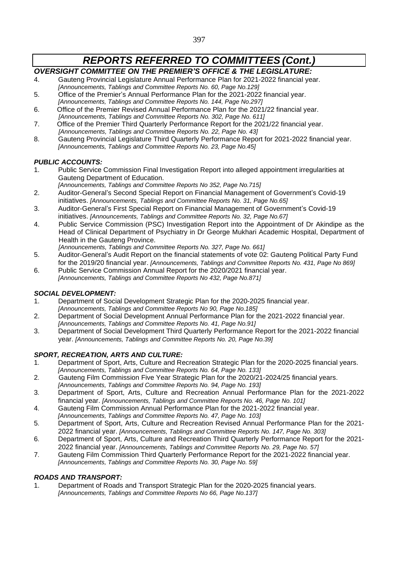## *OVERSIGHT COMMITTEE ON THE PREMIER'S OFFICE & THE LEGISLATURE:*

- 4. Gauteng Provincial Legislature Annual Performance Plan for 2021-2022 financial year. *[Announcements, Tablings and Committee Reports No. 60, Page No.129]*
- 5. Office of the Premier's Annual Performance Plan for the 2021-2022 financial year. *[Announcements, Tablings and Committee Reports No. 144, Page No.297]*
- 6. Office of the Premier Revised Annual Performance Plan for the 2021/22 financial year. *[Announcements, Tablings and Committee Reports No. 302, Page No. 611]*
- 7. Office of the Premier Third Quarterly Performance Report for the 2021/22 financial year. *[Announcements, Tablings and Committee Reports No. 22, Page No. 43]*
- 8. Gauteng Provincial Legislature Third Quarterly Performance Report for 2021-2022 financial year. *[Announcements, Tablings and Committee Reports No. 23, Page No.45]*

### *PUBLIC ACCOUNTS:*

- 1. Public Service Commission Final Investigation Report into alleged appointment irregularities at Gauteng Department of Education.
	- *[Announcements, Tablings and Committee Reports No 352, Page No.715]*
- 2. Auditor-General's Second Special Report on Financial Management of Government's Covid-19 initiatives. *[Announcements, Tablings and Committee Reports No. 31, Page No.65]*
- 3. Auditor-General's First Special Report on Financial Management of Government's Covid-19 initiatives. *[Announcements, Tablings and Committee Reports No. 32, Page No.67]*
- 4. Public Service Commission (PSC) Investigation Report into the Appointment of Dr Akindipe as the Head of Clinical Department of Psychiatry in Dr George Mukhari Academic Hospital, Department of Health in the Gauteng Province.
	- *[Announcements, Tablings and Committee Reports No. 327, Page No. 661]*
- 5. Auditor-General's Audit Report on the financial statements of vote 02: Gauteng Political Party Fund for the 2019/20 financial year. *[Announcements, Tablings and Committee Reports No. 431, Page No 869]*
- 6. Public Service Commission Annual Report for the 2020/2021 financial year. *[Announcements, Tablings and Committee Reports No 432, Page No.871]*

### *SOCIAL DEVELOPMENT:*

- 1. Department of Social Development Strategic Plan for the 2020-2025 financial year. *[Announcements, Tablings and Committee Reports No 90, Page No.185]*
- 2. Department of Social Development Annual Performance Plan for the 2021-2022 financial year. *[Announcements, Tablings and Committee Reports No. 41, Page No.91]*
- 3. Department of Social Development Third Quarterly Performance Report for the 2021-2022 financial year. *[Announcements, Tablings and Committee Reports No. 20, Page No.39]*

### *SPORT, RECREATION, ARTS AND CULTURE:*

- 1. Department of Sport, Arts, Culture and Recreation Strategic Plan for the 2020-2025 financial years. *[Announcements, Tablings and Committee Reports No. 64, Page No. 133]*
- 2. Gauteng Film Commission Five Year Strategic Plan for the 2020/21-2024/25 financial years. *[Announcements, Tablings and Committee Reports No. 94, Page No. 193]*
- 3. Department of Sport, Arts, Culture and Recreation Annual Performance Plan for the 2021-2022 financial year. *[Announcements, Tablings and Committee Reports No. 46, Page No. 101]*
- 4. Gauteng Film Commission Annual Performance Plan for the 2021-2022 financial year.
- *[Announcements, Tablings and Committee Reports No. 47, Page No. 103]* 5. Department of Sport, Arts, Culture and Recreation Revised Annual Performance Plan for the 2021- 2022 financial year. *[Announcements, Tablings and Committee Reports No. 147, Page No. 303]*
- 6. Department of Sport, Arts, Culture and Recreation Third Quarterly Performance Report for the 2021- 2022 financial year. *[Announcements, Tablings and Committee Reports No. 29, Page No. 57]*
- 7. Gauteng Film Commission Third Quarterly Performance Report for the 2021-2022 financial year. *[Announcements, Tablings and Committee Reports No. 30, Page No. 59]*

## *ROADS AND TRANSPORT:*

1. Department of Roads and Transport Strategic Plan for the 2020-2025 financial years. *[Announcements, Tablings and Committee Reports No 66, Page No.137]*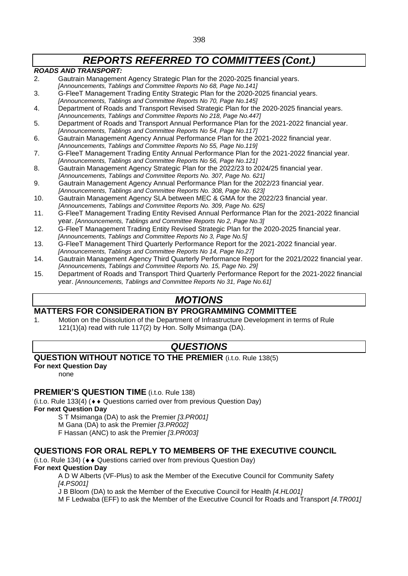### *ROADS AND TRANSPORT:*

- 2. Gautrain Management Agency Strategic Plan for the 2020-2025 financial years. *[Announcements, Tablings and Committee Reports No 68, Page No.141]*
- 3. G-FleeT Management Trading Entity Strategic Plan for the 2020-2025 financial years. *[Announcements, Tablings and Committee Reports No 70, Page No.145]*
- 4. Department of Roads and Transport Revised Strategic Plan for the 2020-2025 financial years. *[Announcements, Tablings and Committee Reports No 218, Page No.447]*
- 5. Department of Roads and Transport Annual Performance Plan for the 2021-2022 financial year. *[Announcements, Tablings and Committee Reports No 54, Page No.117]*
- 6. Gautrain Management Agency Annual Performance Plan for the 2021-2022 financial year. *[Announcements, Tablings and Committee Reports No 55, Page No.119]*
- 7. G-FleeT Management Trading Entity Annual Performance Plan for the 2021-2022 financial year. *[Announcements, Tablings and Committee Reports No 56, Page No.121]*
- 8. Gautrain Management Agency Strategic Plan for the 2022/23 to 2024/25 financial year. *[Announcements, Tablings and Committee Reports No. 307, Page No. 621]*
- 9. Gautrain Management Agency Annual Performance Plan for the 2022/23 financial year. *[Announcements, Tablings and Committee Reports No. 308, Page No. 623]*
- 10. Gautrain Management Agency SLA between MEC & GMA for the 2022/23 financial year. *[Announcements, Tablings and Committee Reports No. 309, Page No. 625]*
- 11. G-FleeT Management Trading Entity Revised Annual Performance Plan for the 2021-2022 financial year. *[Announcements, Tablings and Committee Reports No 2, Page No.3]*
- 12. G-FleeT Management Trading Entity Revised Strategic Plan for the 2020-2025 financial year. *[Announcements, Tablings and Committee Reports No 3, Page No.5]*
- 13. G-FleeT Management Third Quarterly Performance Report for the 2021-2022 financial year. *[Announcements, Tablings and Committee Reports No 14, Page No.27]*
- 14. Gautrain Management Agency Third Quarterly Performance Report for the 2021/2022 financial year. *[Announcements, Tablings and Committee Reports No. 15, Page No. 29]*
- 15. Department of Roads and Transport Third Quarterly Performance Report for the 2021-2022 financial year. *[Announcements, Tablings and Committee Reports No 31, Page No.61]*

## *MOTIONS*

## **MATTERS FOR CONSIDERATION BY PROGRAMMING COMMITTEE**

1. Motion on the Dissolution of the Department of Infrastructure Development in terms of Rule 121(1)(a) read with rule 117(2) by Hon. Solly Msimanga (DA).

## *QUESTIONS*

## **QUESTION WITHOUT NOTICE TO THE PREMIER** (i.t.o. Rule 138(5)

**For next Question Day**

none

## **PREMIER'S QUESTION TIME** (i.t.o. Rule 138)

(i.t.o. Rule 133(4) ( $\leftrightarrow$  Questions carried over from previous Question Day)

**For next Question Day**

S T Msimanga (DA) to ask the Premier *[3.PR001]*

M Gana (DA) to ask the Premier *[3.PR002]*

F Hassan (ANC) to ask the Premier *[3.PR003]*

## **QUESTIONS FOR ORAL REPLY TO MEMBERS OF THE EXECUTIVE COUNCIL**

(i.t.o. Rule 134) ( $\leftrightarrow$  Questions carried over from previous Question Day) **For next Question Day**

A D W Alberts (VF-Plus) to ask the Member of the Executive Council for Community Safety *[4.PS001]*

J B Bloom (DA) to ask the Member of the Executive Council for Health *[4.HL001]*

M F Ledwaba (EFF) to ask the Member of the Executive Council for Roads and Transport *[4.TR001]*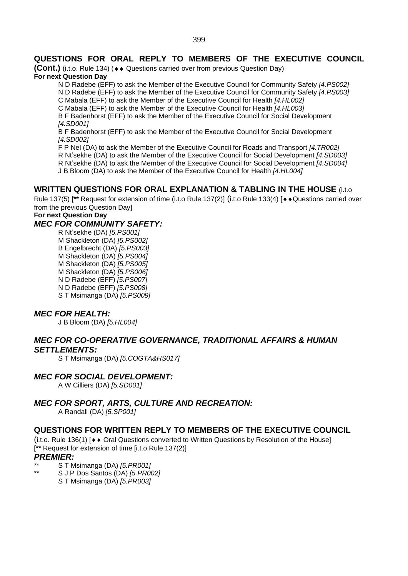## **QUESTIONS FOR ORAL REPLY TO MEMBERS OF THE EXECUTIVE COUNCIL**

**(Cont.)** (i.t.o. Rule 134) (♦ ♦ Questions carried over from previous Question Day) **For next Question Day**

N D Radebe (EFF) to ask the Member of the Executive Council for Community Safety *[4.PS002]*

N D Radebe (EFF) to ask the Member of the Executive Council for Community Safety *[4.PS003]*

C Mabala (EFF) to ask the Member of the Executive Council for Health *[4.HL002]*

C Mabala (EFF) to ask the Member of the Executive Council for Health *[4.HL003]*

B F Badenhorst (EFF) to ask the Member of the Executive Council for Social Development *[4.SD001]*

B F Badenhorst (EFF) to ask the Member of the Executive Council for Social Development *[4.SD002]*

F P Nel (DA) to ask the Member of the Executive Council for Roads and Transport *[4.TR002]*

R Nt'sekhe (DA) to ask the Member of the Executive Council for Social Development *[4.SD003]*

R Nt'sekhe (DA) to ask the Member of the Executive Council for Social Development *[4.SD004]*

J B Bloom (DA) to ask the Member of the Executive Council for Health *[4.HL004]*

## **WRITTEN QUESTIONS FOR ORAL EXPLANATION & TABLING IN THE HOUSE** (i.t.o

Rule 137(5) [\*\* Request for extension of time (i.t.o Rule 137(2)] (i.t.o Rule 133(4) [ $\leftrightarrow$  Questions carried over from the previous Question Day]

## **For next Question Day**

## *MEC FOR COMMUNITY SAFETY:*

R Nt'sekhe (DA) *[5.PS001]* M Shackleton (DA) *[5.PS002]* B Engelbrecht (DA) *[5.PS003]* M Shackleton (DA) *[5.PS004]* M Shackleton (DA) *[5.PS005]* M Shackleton (DA) *[5.PS006]* N D Radebe (EFF) *[5.PS007]* N D Radebe (EFF) *[5.PS008]* S T Msimanga (DA) *[5.PS009]*

### *MEC FOR HEALTH:*

J B Bloom (DA) *[5.HL004]*

## *MEC FOR CO-OPERATIVE GOVERNANCE, TRADITIONAL AFFAIRS & HUMAN SETTLEMENTS:*

S T Msimanga (DA) *[5.COGTA&HS017]*

## *MEC FOR SOCIAL DEVELOPMENT:*

A W Cilliers (DA) *[5.SD001]*

## *MEC FOR SPORT, ARTS, CULTURE AND RECREATION:*

A Randall (DA) *[5.SP001]*

### **QUESTIONS FOR WRITTEN REPLY TO MEMBERS OF THE EXECUTIVE COUNCIL**

 $(i.t.$ o. Rule 136(1)  $\rightarrow \bullet$  Oral Questions converted to Written Questions by Resolution of the Housel [**\*\*** Request for extension of time [i.t.o Rule 137(2)]

### *PREMIER:*

- \*\* S T Msimanga (DA) *[5.PR001]*
	- \*\* S J P Dos Santos (DA) *[5.PR002]*
		- S T Msimanga (DA) *[5.PR003]*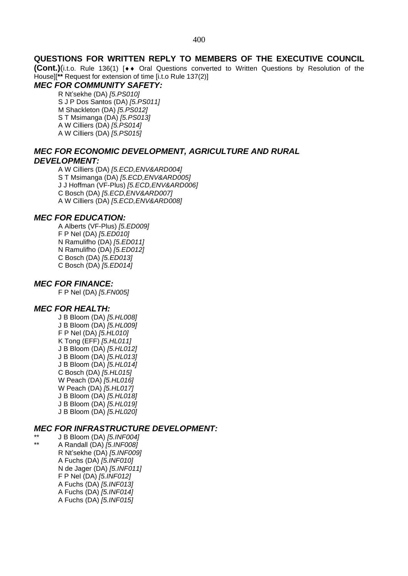#### **QUESTIONS FOR WRITTEN REPLY TO MEMBERS OF THE EXECUTIVE COUNCIL**

**(Cont.)**(i.t.o. Rule 136(1) [◆◆ Oral Questions converted to Written Questions by Resolution of the House][**\*\*** Request for extension of time [i.t.o Rule 137(2)]

## *MEC FOR COMMUNITY SAFETY:*

R Nt'sekhe (DA) *[5.PS010]* S J P Dos Santos (DA) *[5.PS011]* M Shackleton (DA) *[5.PS012]* S T Msimanga (DA) *[5.PS013]* A W Cilliers (DA) *[5.PS014]* A W Cilliers (DA) *[5.PS015]*

### *MEC FOR ECONOMIC DEVELOPMENT, AGRICULTURE AND RURAL DEVELOPMENT:*

A W Cilliers (DA) *[5.ECD,ENV&ARD004]* S T Msimanga (DA) *[5.ECD,ENV&ARD005]* J J Hoffman (VF-Plus) *[5.ECD,ENV&ARD006]* C Bosch (DA) *[5.ECD,ENV&ARD007]* A W Cilliers (DA) *[5.ECD,ENV&ARD008]*

#### *MEC FOR EDUCATION:*

A Alberts (VF-Plus) *[5.ED009]* F P Nel (DA) *[5.ED010]* N Ramulifho (DA) *[5.ED011]* N Ramulifho (DA) *[5.ED012]* C Bosch (DA) *[5.ED013]* C Bosch (DA) *[5.ED014]*

## *MEC FOR FINANCE:*

F P Nel (DA) *[5.FN005]*

#### *MEC FOR HEALTH:*

J B Bloom (DA) *[5.HL008]* J B Bloom (DA) *[5.HL009]* F P Nel (DA) *[5.HL010]* K Tong (EFF) *[5.HL011]* J B Bloom (DA) *[5.HL012]* J B Bloom (DA) *[5.HL013]* J B Bloom (DA) *[5.HL014]* C Bosch (DA) *[5.HL015]* W Peach (DA) *[5.HL016]* W Peach (DA) *[5.HL017]* J B Bloom (DA) *[5.HL018]* J B Bloom (DA) *[5.HL019]* J B Bloom (DA) *[5.HL020]*

#### *MEC FOR INFRASTRUCTURE DEVELOPMENT:*

\*\* J B Bloom (DA) *[5.INF004]* \*\* A Randall (DA) *[5.INF008]* R Nt'sekhe (DA) *[5.INF009]* A Fuchs (DA) *[5.INF010]* N de Jager (DA) *[5.INF011]* F P Nel (DA) *[5.INF012]* A Fuchs (DA) *[5.INF013]* A Fuchs (DA) *[5.INF014]* A Fuchs (DA) *[5.INF015]*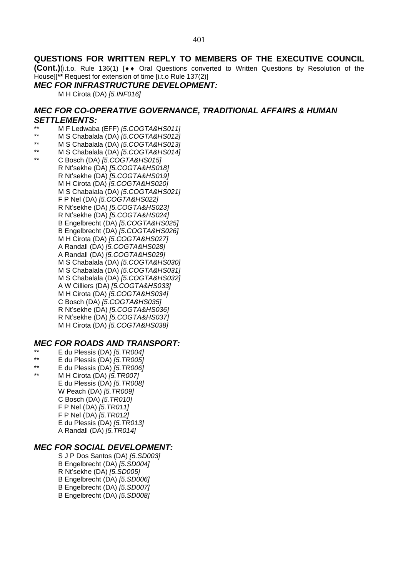### **QUESTIONS FOR WRITTEN REPLY TO MEMBERS OF THE EXECUTIVE COUNCIL**

**(Cont.)**(i.t.o. Rule 136(1) [◆◆ Oral Questions converted to Written Questions by Resolution of the House][**\*\*** Request for extension of time [i.t.o Rule 137(2)]

#### *MEC FOR INFRASTRUCTURE DEVELOPMENT:*

M H Cirota (DA) *[5.INF016]*

### *MEC FOR CO-OPERATIVE GOVERNANCE, TRADITIONAL AFFAIRS & HUMAN SETTLEMENTS:*

- \*\* M F Ledwaba (EFF) *[5.COGTA&HS011]*
- \*\* M S Chabalala (DA) *[5.COGTA&HS012]*
- \*\* M S Chabalala (DA) *[5.COGTA&HS013]*
- \*\* M S Chabalala (DA) *[5.COGTA&HS014]*
- \*\* C Bosch (DA) *[5.COGTA&HS015]* R Nt'sekhe (DA) *[5.COGTA&HS018]* R Nt'sekhe (DA) *[5.COGTA&HS019]* M H Cirota (DA) *[5.COGTA&HS020]* M S Chabalala (DA) *[5.COGTA&HS021]* F P Nel (DA) *[5.COGTA&HS022]* R Nt'sekhe (DA) *[5.COGTA&HS023]* R Nt'sekhe (DA) *[5.COGTA&HS024]* B Engelbrecht (DA) *[5.COGTA&HS025]* B Engelbrecht (DA) *[5.COGTA&HS026]* M H Cirota (DA) *[5.COGTA&HS027]* A Randall (DA) *[5.COGTA&HS028]* A Randall (DA) *[5.COGTA&HS029]* M S Chabalala (DA) *[5.COGTA&HS030]* M S Chabalala (DA) *[5.COGTA&HS031]* M S Chabalala (DA) *[5.COGTA&HS032]* A W Cilliers (DA) *[5.COGTA&HS033]* M H Cirota (DA) *[5.COGTA&HS034]* C Bosch (DA) *[5.COGTA&HS035]* R Nt'sekhe (DA) *[5.COGTA&HS036]* R Nt'sekhe (DA) *[5.COGTA&HS037]* M H Cirota (DA) *[5.COGTA&HS038]*

### *MEC FOR ROADS AND TRANSPORT:*

- \*\* E du Plessis (DA) *[5.TR004]*
- \*\* E du Plessis (DA) *[5.TR005]*
- \*\* E du Plessis (DA) *[5.TR006]*
- \*\* M H Cirota (DA) *[5.TR007]* E du Plessis (DA) *[5.TR008]* W Peach (DA) *[5.TR009]* C Bosch (DA) *[5.TR010]* F P Nel (DA) *[5.TR011]* F P Nel (DA) *[5.TR012]* E du Plessis (DA) *[5.TR013]* A Randall (DA) *[5.TR014]*

#### *MEC FOR SOCIAL DEVELOPMENT:*

S J P Dos Santos (DA) *[5.SD003]* B Engelbrecht (DA) *[5.SD004]* R Nt'sekhe (DA) *[5.SD005]* B Engelbrecht (DA) *[5.SD006]* B Engelbrecht (DA) *[5.SD007]* B Engelbrecht (DA) *[5.SD008]*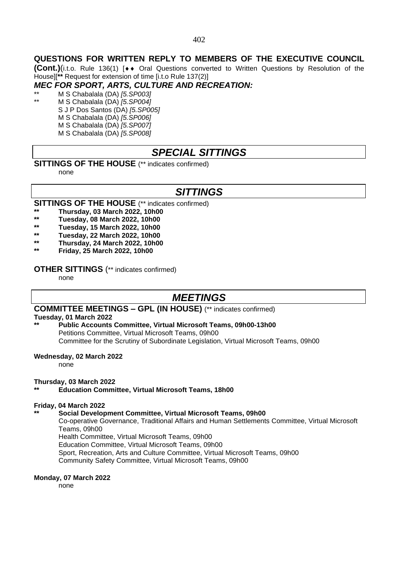## **QUESTIONS FOR WRITTEN REPLY TO MEMBERS OF THE EXECUTIVE COUNCIL**

**(Cont.)**(i.t.o. Rule 136(1) [♦♦ Oral Questions converted to Written Questions by Resolution of the House][**\*\*** Request for extension of time [i.t.o Rule 137(2)]

## *MEC FOR SPORT, ARTS, CULTURE AND RECREATION:*

\*\* M S Chabalala (DA) *[5.SP003]* \*\* M S Chabalala (DA) *[5.SP004]*

S J P Dos Santos (DA) *[5.SP005]* M S Chabalala (DA) *[5.SP006]* M S Chabalala (DA) *[5.SP007]* M S Chabalala (DA) *[5.SP008]*

## *SPECIAL SITTINGS*

#### **SITTINGS OF THE HOUSE** (\*\* indicates confirmed)

none

## *SITTINGS*

**SITTINGS OF THE HOUSE** (\*\* indicates confirmed)

- **\*\* Thursday, 03 March 2022, 10h00**
- **\*\* Tuesday, 08 March 2022, 10h00**
- **\*\* Tuesday, 15 March 2022, 10h00**
- **\*\* Tuesday, 22 March 2022, 10h00**
- **\*\* Thursday, 24 March 2022, 10h00**
- **\*\* Friday, 25 March 2022, 10h00**

#### **OTHER SITTINGS** (\*\* indicates confirmed)

none

## *MEETINGS*

#### **COMMITTEE MEETINGS – GPL (IN HOUSE)** (\*\* indicates confirmed)

#### **Tuesday, 01 March 2022**

**\*\* Public Accounts Committee, Virtual Microsoft Teams, 09h00-13h00** Petitions Committee, Virtual Microsoft Teams, 09h00 Committee for the Scrutiny of Subordinate Legislation, Virtual Microsoft Teams, 09h00

#### **Wednesday, 02 March 2022**

none

#### **Thursday, 03 March 2022**

**\*\* Education Committee, Virtual Microsoft Teams, 18h00**

#### **Friday, 04 March 2022**

#### **\*\* Social Development Committee, Virtual Microsoft Teams, 09h00**

Co-operative Governance, Traditional Affairs and Human Settlements Committee, Virtual Microsoft Teams, 09h00

Health Committee, Virtual Microsoft Teams, 09h00 Education Committee, Virtual Microsoft Teams, 09h00

Sport, Recreation, Arts and Culture Committee, Virtual Microsoft Teams, 09h00

Community Safety Committee, Virtual Microsoft Teams, 09h00

#### **Monday, 07 March 2022**

none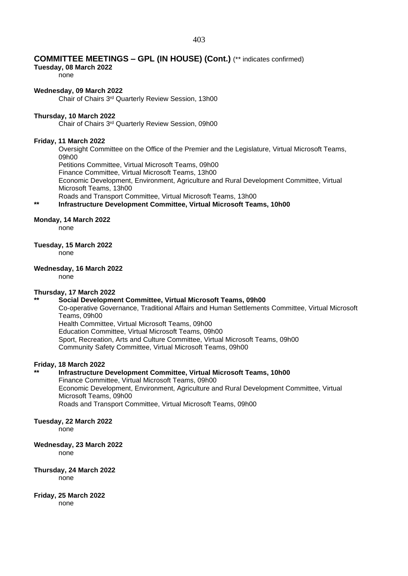#### 403

#### **COMMITTEE MEETINGS – GPL (IN HOUSE) (Cont.)** (\*\* indicates confirmed)

#### **Tuesday, 08 March 2022**

none

#### **Wednesday, 09 March 2022**

Chair of Chairs 3rd Quarterly Review Session, 13h00

#### **Thursday, 10 March 2022**

Chair of Chairs 3rd Quarterly Review Session, 09h00

#### **Friday, 11 March 2022**

Oversight Committee on the Office of the Premier and the Legislature, Virtual Microsoft Teams, 09h00

Petitions Committee, Virtual Microsoft Teams, 09h00

Finance Committee, Virtual Microsoft Teams, 13h00

Economic Development, Environment, Agriculture and Rural Development Committee, Virtual Microsoft Teams, 13h00

Roads and Transport Committee, Virtual Microsoft Teams, 13h00

#### **\*\* Infrastructure Development Committee, Virtual Microsoft Teams, 10h00**

#### **Monday, 14 March 2022**

none

#### **Tuesday, 15 March 2022**

none

#### **Wednesday, 16 March 2022**

none

#### **Thursday, 17 March 2022**

#### **\*\* Social Development Committee, Virtual Microsoft Teams, 09h00**

Co-operative Governance, Traditional Affairs and Human Settlements Committee, Virtual Microsoft Teams, 09h00

Health Committee, Virtual Microsoft Teams, 09h00 Education Committee, Virtual Microsoft Teams, 09h00

Sport, Recreation, Arts and Culture Committee, Virtual Microsoft Teams, 09h00 Community Safety Committee, Virtual Microsoft Teams, 09h00

#### **Friday, 18 March 2022**

### **\*\* Infrastructure Development Committee, Virtual Microsoft Teams, 10h00** Finance Committee, Virtual Microsoft Teams, 09h00 Economic Development, Environment, Agriculture and Rural Development Committee, Virtual Microsoft Teams, 09h00

Roads and Transport Committee, Virtual Microsoft Teams, 09h00

#### **Tuesday, 22 March 2022**

none

#### **Wednesday, 23 March 2022**

none

## **Thursday, 24 March 2022**

none

#### **Friday, 25 March 2022**

none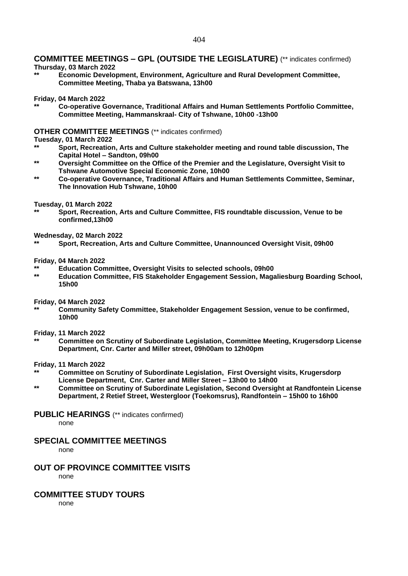## **COMMITTEE MEETINGS – GPL (OUTSIDE THE LEGISLATURE)** (\*\* indicates confirmed)

#### **Thursday, 03 March 2022**

**\*\* Economic Development, Environment, Agriculture and Rural Development Committee, Committee Meeting, Thaba ya Batswana, 13h00** 

#### **Friday, 04 March 2022**

**\*\* Co-operative Governance, Traditional Affairs and Human Settlements Portfolio Committee, Committee Meeting, Hammanskraal- City of Tshwane, 10h00 -13h00**

#### **OTHER COMMITTEE MEETINGS** (\*\* indicates confirmed)

#### **Tuesday, 01 March 2022**

- **\*\* Sport, Recreation, Arts and Culture stakeholder meeting and round table discussion, The Capital Hotel – Sandton, 09h00**
- **\*\* Oversight Committee on the Office of the Premier and the Legislature, Oversight Visit to Tshwane Automotive Special Economic Zone, 10h00**
- **\*\* Co-operative Governance, Traditional Affairs and Human Settlements Committee, Seminar, The Innovation Hub Tshwane, 10h00**

#### **Tuesday, 01 March 2022**

**\*\* Sport, Recreation, Arts and Culture Committee, FIS roundtable discussion, Venue to be confirmed,13h00**

#### **Wednesday, 02 March 2022**

**\*\* Sport, Recreation, Arts and Culture Committee, Unannounced Oversight Visit, 09h00**

#### **Friday, 04 March 2022**

- **\*\* Education Committee, Oversight Visits to selected schools, 09h00**
- **\*\* Education Committee, FIS Stakeholder Engagement Session, Magaliesburg Boarding School, 15h00**

#### **Friday, 04 March 2022**

**\*\* Community Safety Committee, Stakeholder Engagement Session, venue to be confirmed, 10h00**

#### **Friday, 11 March 2022**

**\*\* Committee on Scrutiny of Subordinate Legislation, Committee Meeting, Krugersdorp License Department, Cnr. Carter and Miller street, 09h00am to 12h00pm**

#### **Friday, 11 March 2022**

- **\*\* Committee on Scrutiny of Subordinate Legislation, First Oversight visits, Krugersdorp License Department, Cnr. Carter and Miller Street – 13h00 to 14h00**
- **\*\* Committee on Scrutiny of Subordinate Legislation, Second Oversight at Randfontein License Department, 2 Retief Street, Westergloor (Toekomsrus), Randfontein – 15h00 to 16h00**

#### **PUBLIC HEARINGS** (\*\* indicates confirmed)

none

### **SPECIAL COMMITTEE MEETINGS**

none

#### **OUT OF PROVINCE COMMITTEE VISITS** none

#### **COMMITTEE STUDY TOURS**

none